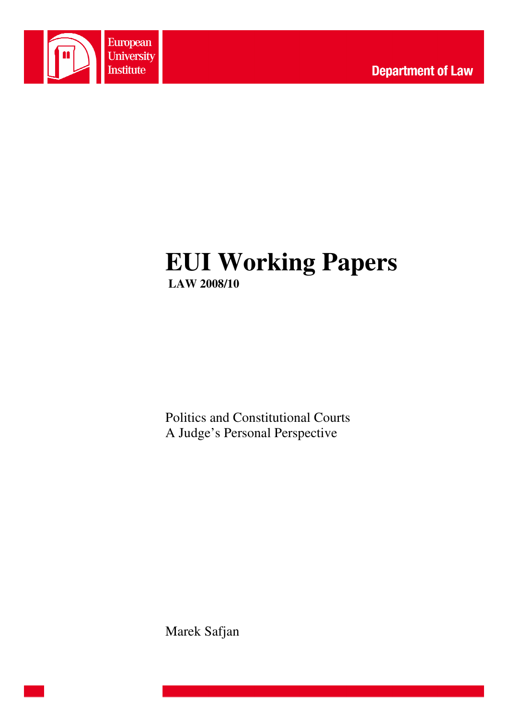

# **EUI Working Papers LAW 2008/10**

Politics and Constitutional Courts A Judge's Personal Perspective

Marek Safjan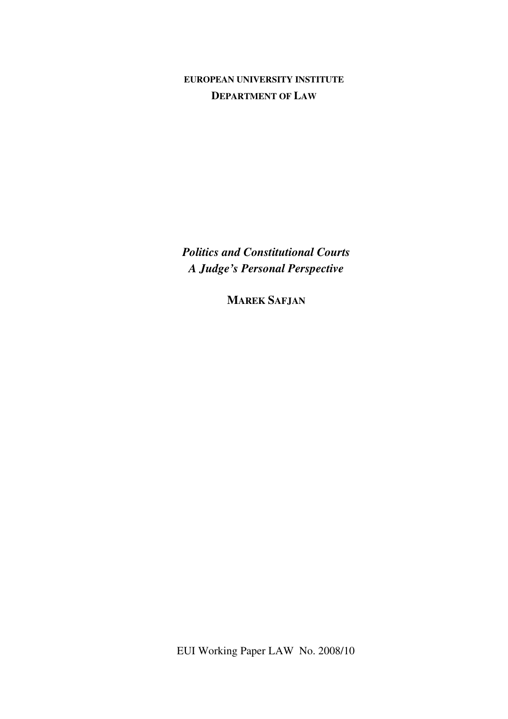## **EUROPEAN UNIVERSITY INSTITUTE DEPARTMENT OF LAW**

*Politics and Constitutional Courts A Judge's Personal Perspective* 

**MAREK SAFJAN**

EUI Working Paper LAW No. 2008/10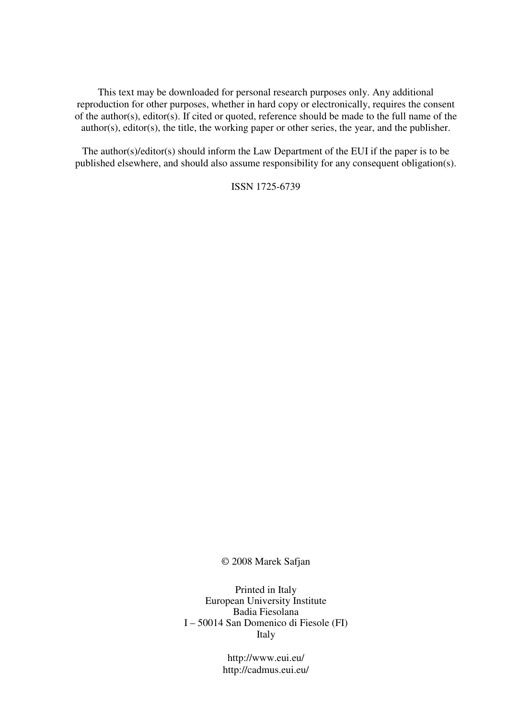This text may be downloaded for personal research purposes only. Any additional reproduction for other purposes, whether in hard copy or electronically, requires the consent of the author(s), editor(s). If cited or quoted, reference should be made to the full name of the author(s), editor(s), the title, the working paper or other series, the year, and the publisher.

The author(s)/editor(s) should inform the Law Department of the EUI if the paper is to be published elsewhere, and should also assume responsibility for any consequent obligation(s).

ISSN 1725-6739

© 2008 Marek Safjan

Printed in Italy European University Institute Badia Fiesolana I – 50014 San Domenico di Fiesole (FI) Italy

> http://www.eui.eu/ http://cadmus.eui.eu/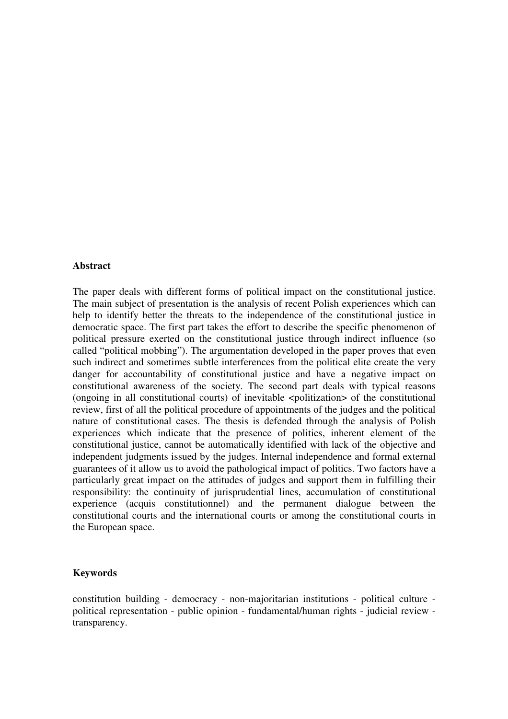#### **Abstract**

The paper deals with different forms of political impact on the constitutional justice. The main subject of presentation is the analysis of recent Polish experiences which can help to identify better the threats to the independence of the constitutional justice in democratic space. The first part takes the effort to describe the specific phenomenon of political pressure exerted on the constitutional justice through indirect influence (so called "political mobbing"). The argumentation developed in the paper proves that even such indirect and sometimes subtle interferences from the political elite create the very danger for accountability of constitutional justice and have a negative impact on constitutional awareness of the society. The second part deals with typical reasons (ongoing in all constitutional courts) of inevitable  $\leq$  politization $\geq$  of the constitutional review, first of all the political procedure of appointments of the judges and the political nature of constitutional cases. The thesis is defended through the analysis of Polish experiences which indicate that the presence of politics, inherent element of the constitutional justice, cannot be automatically identified with lack of the objective and independent judgments issued by the judges. Internal independence and formal external guarantees of it allow us to avoid the pathological impact of politics. Two factors have a particularly great impact on the attitudes of judges and support them in fulfilling their responsibility: the continuity of jurisprudential lines, accumulation of constitutional experience (acquis constitutionnel) and the permanent dialogue between the constitutional courts and the international courts or among the constitutional courts in the European space.

#### **Keywords**

constitution building - democracy - non-majoritarian institutions - political culture political representation - public opinion - fundamental/human rights - judicial review transparency.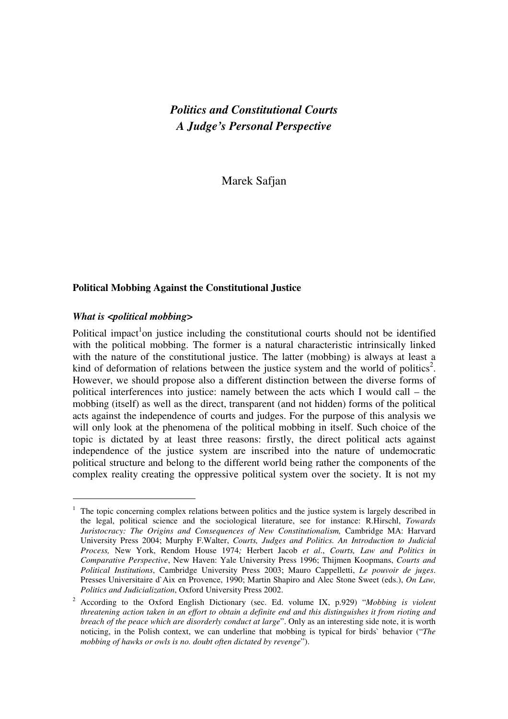# *Politics and Constitutional Courts A Judge's Personal Perspective*

Marek Safjan

#### **Political Mobbing Against the Constitutional Justice**

#### *What is <political mobbing>*

 $\overline{a}$ 

Political impact<sup>1</sup>on justice including the constitutional courts should not be identified with the political mobbing. The former is a natural characteristic intrinsically linked with the nature of the constitutional justice. The latter (mobbing) is always at least a kind of deformation of relations between the justice system and the world of politics<sup>2</sup>. However, we should propose also a different distinction between the diverse forms of political interferences into justice: namely between the acts which I would call – the mobbing (itself) as well as the direct, transparent (and not hidden) forms of the political acts against the independence of courts and judges. For the purpose of this analysis we will only look at the phenomena of the political mobbing in itself. Such choice of the topic is dictated by at least three reasons: firstly, the direct political acts against independence of the justice system are inscribed into the nature of undemocratic political structure and belong to the different world being rather the components of the complex reality creating the oppressive political system over the society. It is not my

<sup>1</sup> The topic concerning complex relations between politics and the justice system is largely described in the legal, political science and the sociological literature, see for instance: R.Hirschl, *Towards Juristocracy: The Origins and Consequences of New Constitutionalism,* Cambridge MA: Harvard University Press 2004; Murphy F.Walter, *Courts, Judges and Politics. An Introduction to Judicial Process,* New York, Rendom House 1974*;* Herbert Jacob *et al*., *Courts, Law and Politics in Comparative Perspective*, New Haven: Yale University Press 1996; Thijmen Koopmans, *Courts and Political Institutions*, Cambridge University Press 2003; Mauro Cappelletti, *Le pouvoir de juges*. Presses Universitaire d`Aix en Provence, 1990; Martin Shapiro and Alec Stone Sweet (eds.), *On Law, Politics and Judicialization*, Oxford University Press 2002.

<sup>2</sup> According to the Oxford English Dictionary (sec. Ed. volume IX, p.929) "*Mobbing is violent threatening action taken in an effort to obtain a definite end and this distinguishes it from rioting and breach of the peace which are disorderly conduct at large*". Only as an interesting side note, it is worth noticing, in the Polish context, we can underline that mobbing is typical for birds` behavior ("*The mobbing of hawks or owls is no. doubt often dictated by revenge*").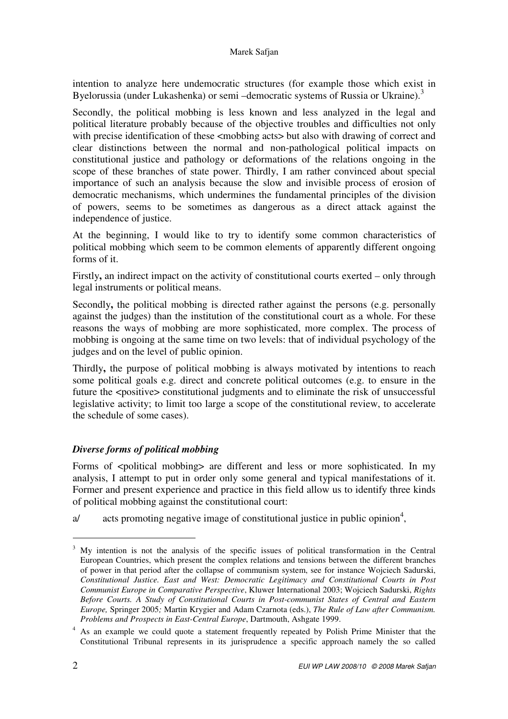intention to analyze here undemocratic structures (for example those which exist in Byelorussia (under Lukashenka) or semi –democratic systems of Russia or Ukraine).<sup>3</sup>

Secondly, the political mobbing is less known and less analyzed in the legal and political literature probably because of the objective troubles and difficulties not only with precise identification of these <mobbing acts> but also with drawing of correct and clear distinctions between the normal and non-pathological political impacts on constitutional justice and pathology or deformations of the relations ongoing in the scope of these branches of state power. Thirdly, I am rather convinced about special importance of such an analysis because the slow and invisible process of erosion of democratic mechanisms, which undermines the fundamental principles of the division of powers, seems to be sometimes as dangerous as a direct attack against the independence of justice.

At the beginning, I would like to try to identify some common characteristics of political mobbing which seem to be common elements of apparently different ongoing forms of it.

Firstly**,** an indirect impact on the activity of constitutional courts exerted – only through legal instruments or political means.

Secondly**,** the political mobbing is directed rather against the persons (e.g. personally against the judges) than the institution of the constitutional court as a whole. For these reasons the ways of mobbing are more sophisticated, more complex. The process of mobbing is ongoing at the same time on two levels: that of individual psychology of the judges and on the level of public opinion.

Thirdly**,** the purpose of political mobbing is always motivated by intentions to reach some political goals e.g. direct and concrete political outcomes (e.g. to ensure in the future the  $\langle$  spositive  $\rangle$  constitutional judgments and to eliminate the risk of unsuccessful legislative activity; to limit too large a scope of the constitutional review, to accelerate the schedule of some cases).

## *Diverse forms of political mobbing*

Forms of  $\leq$  political mobbing are different and less or more sophisticated. In my analysis, I attempt to put in order only some general and typical manifestations of it. Former and present experience and practice in this field allow us to identify three kinds of political mobbing against the constitutional court:

 $a$  acts promoting negative image of constitutional justice in public opinion<sup>4</sup>,

<sup>3</sup> My intention is not the analysis of the specific issues of political transformation in the Central European Countries, which present the complex relations and tensions between the different branches of power in that period after the collapse of communism system, see for instance Wojciech Sadurski, *Constitutional Justice. East and West: Democratic Legitimacy and Constitutional Courts in Post Communist Europe in Comparative Perspective*, Kluwer International 2003; Wojciech Sadurski, *Rights Before Courts. A Study of Constitutional Courts in Post-communist States of Central and Eastern Europe,* Springer 2005*;* Martin Krygier and Adam Czarnota (eds.), *The Rule of Law after Communism. Problems and Prospects in East-Central Europe*, Dartmouth, Ashgate 1999.

<sup>4</sup> As an example we could quote a statement frequently repeated by Polish Prime Minister that the Constitutional Tribunal represents in its jurisprudence a specific approach namely the so called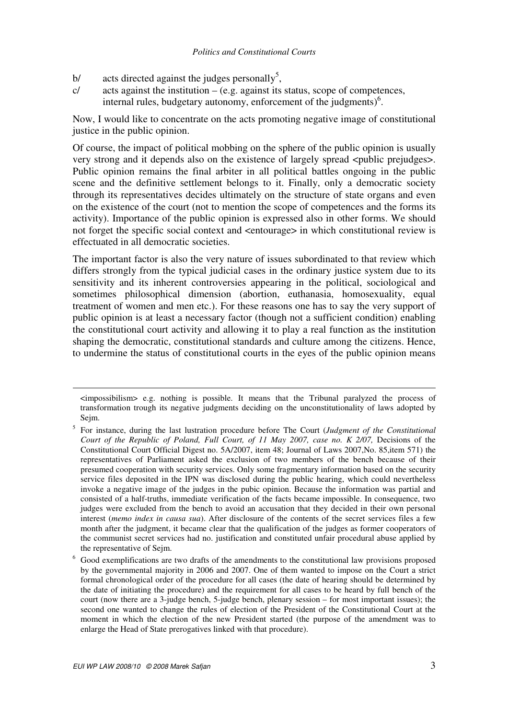- b/ acts directed against the judges personally<sup>5</sup>,
- $c$  acts against the institution (e.g. against its status, scope of competences, internal rules, budgetary autonomy, enforcement of the judgments)<sup>6</sup>.

Now, I would like to concentrate on the acts promoting negative image of constitutional justice in the public opinion.

Of course, the impact of political mobbing on the sphere of the public opinion is usually very strong and it depends also on the existence of largely spread  $\leq$  public prejudges $\geq$ . Public opinion remains the final arbiter in all political battles ongoing in the public scene and the definitive settlement belongs to it. Finally, only a democratic society through its representatives decides ultimately on the structure of state organs and even on the existence of the court (not to mention the scope of competences and the forms its activity). Importance of the public opinion is expressed also in other forms. We should not forget the specific social context and <entourage> in which constitutional review is effectuated in all democratic societies.

The important factor is also the very nature of issues subordinated to that review which differs strongly from the typical judicial cases in the ordinary justice system due to its sensitivity and its inherent controversies appearing in the political, sociological and sometimes philosophical dimension (abortion, euthanasia, homosexuality, equal treatment of women and men etc.). For these reasons one has to say the very support of public opinion is at least a necessary factor (though not a sufficient condition) enabling the constitutional court activity and allowing it to play a real function as the institution shaping the democratic, constitutional standards and culture among the citizens. Hence, to undermine the status of constitutional courts in the eyes of the public opinion means

<u>.</u>

 $\langle$ impossibilism $>$ e.g. nothing is possible. It means that the Tribunal paralyzed the process of transformation trough its negative judgments deciding on the unconstitutionality of laws adopted by Sejm.

<sup>5</sup> For instance, during the last lustration procedure before The Court (*Judgment of the Constitutional Court of the Republic of Poland, Full Court, of 11 May 2007, case no. K 2/07,* Decisions of the Constitutional Court Official Digest no. 5A/2007, item 48; Journal of Laws 2007,No. 85,item 571) the representatives of Parliament asked the exclusion of two members of the bench because of their presumed cooperation with security services. Only some fragmentary information based on the security service files deposited in the IPN was disclosed during the public hearing, which could nevertheless invoke a negative image of the judges in the pubic opinion. Because the information was partial and consisted of a half-truths, immediate verification of the facts became impossible. In consequence, two judges were excluded from the bench to avoid an accusation that they decided in their own personal interest (*memo index in causa sua*). After disclosure of the contents of the secret services files a few month after the judgment, it became clear that the qualification of the judges as former cooperators of the communist secret services had no. justification and constituted unfair procedural abuse applied by the representative of Sejm.

<sup>6</sup> Good exemplifications are two drafts of the amendments to the constitutional law provisions proposed by the governmental majority in 2006 and 2007. One of them wanted to impose on the Court a strict formal chronological order of the procedure for all cases (the date of hearing should be determined by the date of initiating the procedure) and the requirement for all cases to be heard by full bench of the court (now there are a 3-judge bench, 5-judge bench, plenary session – for most important issues); the second one wanted to change the rules of election of the President of the Constitutional Court at the moment in which the election of the new President started (the purpose of the amendment was to enlarge the Head of State prerogatives linked with that procedure).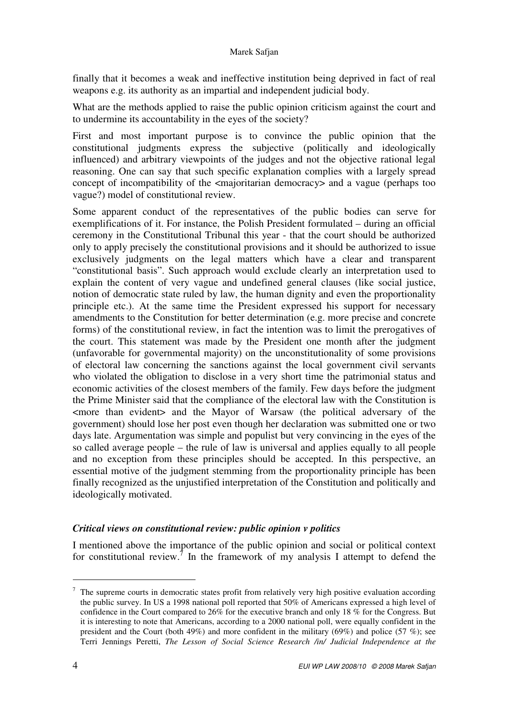finally that it becomes a weak and ineffective institution being deprived in fact of real weapons e.g. its authority as an impartial and independent judicial body.

What are the methods applied to raise the public opinion criticism against the court and to undermine its accountability in the eyes of the society?

First and most important purpose is to convince the public opinion that the constitutional judgments express the subjective (politically and ideologically influenced) and arbitrary viewpoints of the judges and not the objective rational legal reasoning. One can say that such specific explanation complies with a largely spread concept of incompatibility of the <majoritarian democracy> and a vague (perhaps too vague?) model of constitutional review.

Some apparent conduct of the representatives of the public bodies can serve for exemplifications of it. For instance, the Polish President formulated – during an official ceremony in the Constitutional Tribunal this year - that the court should be authorized only to apply precisely the constitutional provisions and it should be authorized to issue exclusively judgments on the legal matters which have a clear and transparent "constitutional basis". Such approach would exclude clearly an interpretation used to explain the content of very vague and undefined general clauses (like social justice, notion of democratic state ruled by law, the human dignity and even the proportionality principle etc.). At the same time the President expressed his support for necessary amendments to the Constitution for better determination (e.g. more precise and concrete forms) of the constitutional review, in fact the intention was to limit the prerogatives of the court. This statement was made by the President one month after the judgment (unfavorable for governmental majority) on the unconstitutionality of some provisions of electoral law concerning the sanctions against the local government civil servants who violated the obligation to disclose in a very short time the patrimonial status and economic activities of the closest members of the family. Few days before the judgment the Prime Minister said that the compliance of the electoral law with the Constitution is <more than evident> and the Mayor of Warsaw (the political adversary of the government) should lose her post even though her declaration was submitted one or two days late. Argumentation was simple and populist but very convincing in the eyes of the so called average people – the rule of law is universal and applies equally to all people and no exception from these principles should be accepted. In this perspective, an essential motive of the judgment stemming from the proportionality principle has been finally recognized as the unjustified interpretation of the Constitution and politically and ideologically motivated.

## *Critical views on constitutional review: public opinion v politics*

I mentioned above the importance of the public opinion and social or political context for constitutional review.<sup>7</sup> In the framework of my analysis I attempt to defend the

<sup>7</sup> The supreme courts in democratic states profit from relatively very high positive evaluation according the public survey. In US a 1998 national poll reported that 50% of Americans expressed a high level of confidence in the Court compared to 26% for the executive branch and only 18 % for the Congress. But it is interesting to note that Americans, according to a 2000 national poll, were equally confident in the president and the Court (both 49%) and more confident in the military (69%) and police (57 %); see Terri Jennings Peretti, *The Lesson of Social Science Research /in/ Judicial Independence at the*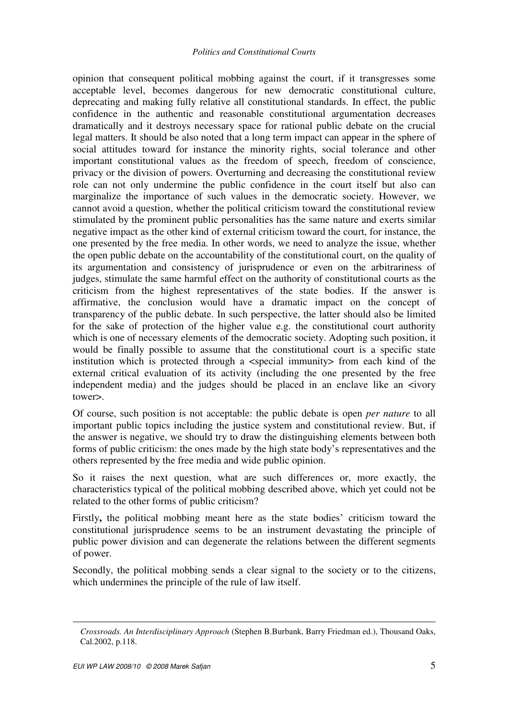opinion that consequent political mobbing against the court, if it transgresses some acceptable level, becomes dangerous for new democratic constitutional culture, deprecating and making fully relative all constitutional standards. In effect, the public confidence in the authentic and reasonable constitutional argumentation decreases dramatically and it destroys necessary space for rational public debate on the crucial legal matters. It should be also noted that a long term impact can appear in the sphere of social attitudes toward for instance the minority rights, social tolerance and other important constitutional values as the freedom of speech, freedom of conscience, privacy or the division of powers. Overturning and decreasing the constitutional review role can not only undermine the public confidence in the court itself but also can marginalize the importance of such values in the democratic society. However, we cannot avoid a question, whether the political criticism toward the constitutional review stimulated by the prominent public personalities has the same nature and exerts similar negative impact as the other kind of external criticism toward the court, for instance, the one presented by the free media. In other words, we need to analyze the issue, whether the open public debate on the accountability of the constitutional court, on the quality of its argumentation and consistency of jurisprudence or even on the arbitrariness of judges, stimulate the same harmful effect on the authority of constitutional courts as the criticism from the highest representatives of the state bodies. If the answer is affirmative, the conclusion would have a dramatic impact on the concept of transparency of the public debate. In such perspective, the latter should also be limited for the sake of protection of the higher value e.g. the constitutional court authority which is one of necessary elements of the democratic society. Adopting such position, it would be finally possible to assume that the constitutional court is a specific state institution which is protected through a <special immunity> from each kind of the external critical evaluation of its activity (including the one presented by the free independent media) and the judges should be placed in an enclave like an  $\le$ ivory tower>.

Of course, such position is not acceptable: the public debate is open *per nature* to all important public topics including the justice system and constitutional review. But, if the answer is negative, we should try to draw the distinguishing elements between both forms of public criticism: the ones made by the high state body's representatives and the others represented by the free media and wide public opinion.

So it raises the next question, what are such differences or, more exactly, the characteristics typical of the political mobbing described above, which yet could not be related to the other forms of public criticism?

Firstly**,** the political mobbing meant here as the state bodies' criticism toward the constitutional jurisprudence seems to be an instrument devastating the principle of public power division and can degenerate the relations between the different segments of power.

Secondly, the political mobbing sends a clear signal to the society or to the citizens, which undermines the principle of the rule of law itself.

-

*Crossroads. An Interdisciplinary Approach* (Stephen B.Burbank, Barry Friedman ed.), Thousand Oaks, Cal.2002, p.118.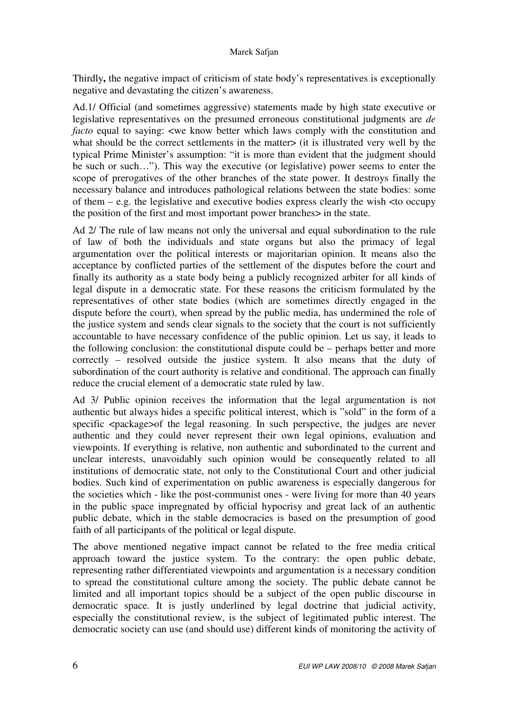Thirdly**,** the negative impact of criticism of state body's representatives is exceptionally negative and devastating the citizen's awareness.

Ad.1/ Official (and sometimes aggressive) statements made by high state executive or legislative representatives on the presumed erroneous constitutional judgments are *de facto* equal to saying: <we know better which laws comply with the constitution and what should be the correct settlements in the matter it is illustrated very well by the typical Prime Minister's assumption: "it is more than evident that the judgment should be such or such…"). This way the executive (or legislative) power seems to enter the scope of prerogatives of the other branches of the state power. It destroys finally the necessary balance and introduces pathological relations between the state bodies: some of them – e.g. the legislative and executive bodies express clearly the wish <to occupy the position of the first and most important power branches> in the state.

Ad 2/ The rule of law means not only the universal and equal subordination to the rule of law of both the individuals and state organs but also the primacy of legal argumentation over the political interests or majoritarian opinion. It means also the acceptance by conflicted parties of the settlement of the disputes before the court and finally its authority as a state body being a publicly recognized arbiter for all kinds of legal dispute in a democratic state. For these reasons the criticism formulated by the representatives of other state bodies (which are sometimes directly engaged in the dispute before the court), when spread by the public media, has undermined the role of the justice system and sends clear signals to the society that the court is not sufficiently accountable to have necessary confidence of the public opinion. Let us say, it leads to the following conclusion: the constitutional dispute could be – perhaps better and more correctly – resolved outside the justice system. It also means that the duty of subordination of the court authority is relative and conditional. The approach can finally reduce the crucial element of a democratic state ruled by law.

Ad 3/ Public opinion receives the information that the legal argumentation is not authentic but always hides a specific political interest, which is "sold" in the form of a specific <package>of the legal reasoning. In such perspective, the judges are never authentic and they could never represent their own legal opinions, evaluation and viewpoints. If everything is relative, non authentic and subordinated to the current and unclear interests, unavoidably such opinion would be consequently related to all institutions of democratic state, not only to the Constitutional Court and other judicial bodies. Such kind of experimentation on public awareness is especially dangerous for the societies which - like the post-communist ones - were living for more than 40 years in the public space impregnated by official hypocrisy and great lack of an authentic public debate, which in the stable democracies is based on the presumption of good faith of all participants of the political or legal dispute.

The above mentioned negative impact cannot be related to the free media critical approach toward the justice system. To the contrary: the open public debate, representing rather differentiated viewpoints and argumentation is a necessary condition to spread the constitutional culture among the society. The public debate cannot be limited and all important topics should be a subject of the open public discourse in democratic space. It is justly underlined by legal doctrine that judicial activity, especially the constitutional review, is the subject of legitimated public interest. The democratic society can use (and should use) different kinds of monitoring the activity of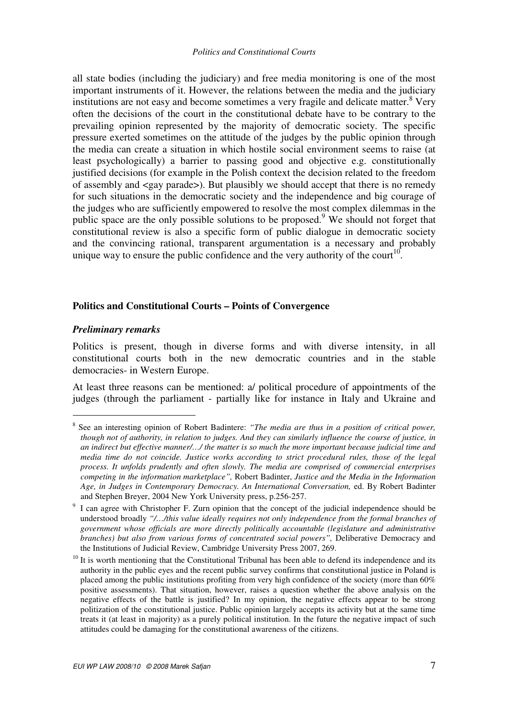all state bodies (including the judiciary) and free media monitoring is one of the most important instruments of it. However, the relations between the media and the judiciary institutions are not easy and become sometimes a very fragile and delicate matter.<sup>8</sup> Very often the decisions of the court in the constitutional debate have to be contrary to the prevailing opinion represented by the majority of democratic society. The specific pressure exerted sometimes on the attitude of the judges by the public opinion through the media can create a situation in which hostile social environment seems to raise (at least psychologically) a barrier to passing good and objective e.g. constitutionally justified decisions (for example in the Polish context the decision related to the freedom of assembly and <gay parade>). But plausibly we should accept that there is no remedy for such situations in the democratic society and the independence and big courage of the judges who are sufficiently empowered to resolve the most complex dilemmas in the public space are the only possible solutions to be proposed.<sup>9</sup> We should not forget that constitutional review is also a specific form of public dialogue in democratic society and the convincing rational, transparent argumentation is a necessary and probably unique way to ensure the public confidence and the very authority of the court<sup>10</sup>.

#### **Politics and Constitutional Courts – Points of Convergence**

#### *Preliminary remarks*

 $\overline{a}$ 

Politics is present, though in diverse forms and with diverse intensity, in all constitutional courts both in the new democratic countries and in the stable democracies- in Western Europe.

At least three reasons can be mentioned: a/ political procedure of appointments of the judges (through the parliament - partially like for instance in Italy and Ukraine and

<sup>&</sup>lt;sup>8</sup> See an interesting opinion of Robert Badintere: "The media are thus in a position of critical power, *though not of authority, in relation to judges. And they can similarly influence the course of justice, in an indirect but effective manner/…/ the matter is so much the more important because judicial time and media time do not coincide. Justice works according to strict procedural rules, those of the legal process. It unfolds prudently and often slowly. The media are comprised of commercial enterprises competing in the information marketplace",* Robert Badinter, *Justice and the Media in the Information Age, in Judges in Contemporary Democracy. An International Conversation,* ed. By Robert Badinter and Stephen Breyer, 2004 New York University press, p.256-257.

<sup>9</sup> I can agree with Christopher F. Zurn opinion that the concept of the judicial independence should be understood broadly *"/…/this value ideally requires not only independence from the formal branches of government whose officials are more directly politically accountable (legislature and administrative branches) but also from various forms of concentrated social powers",* Deliberative Democracy and the Institutions of Judicial Review, Cambridge University Press 2007, 269.

 $10$  It is worth mentioning that the Constitutional Tribunal has been able to defend its independence and its authority in the public eyes and the recent public survey confirms that constitutional justice in Poland is placed among the public institutions profiting from very high confidence of the society (more than 60% positive assessments). That situation, however, raises a question whether the above analysis on the negative effects of the battle is justified? In my opinion, the negative effects appear to be strong politization of the constitutional justice. Public opinion largely accepts its activity but at the same time treats it (at least in majority) as a purely political institution. In the future the negative impact of such attitudes could be damaging for the constitutional awareness of the citizens.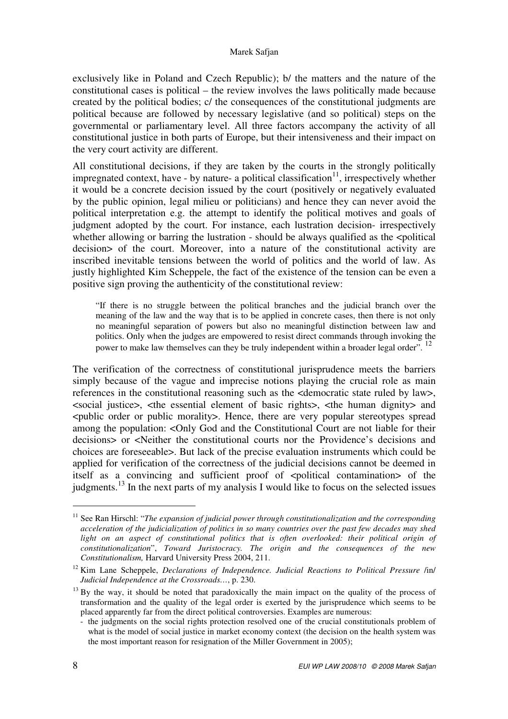exclusively like in Poland and Czech Republic); b/ the matters and the nature of the constitutional cases is political – the review involves the laws politically made because created by the political bodies; c/ the consequences of the constitutional judgments are political because are followed by necessary legislative (and so political) steps on the governmental or parliamentary level. All three factors accompany the activity of all constitutional justice in both parts of Europe, but their intensiveness and their impact on the very court activity are different.

All constitutional decisions, if they are taken by the courts in the strongly politically impregnated context, have - by nature- a political classification $11$ , irrespectively whether it would be a concrete decision issued by the court (positively or negatively evaluated by the public opinion, legal milieu or politicians) and hence they can never avoid the political interpretation e.g. the attempt to identify the political motives and goals of judgment adopted by the court. For instance, each lustration decision- irrespectively whether allowing or barring the lustration - should be always qualified as the  $\leq$  political decision> of the court. Moreover, into a nature of the constitutional activity are inscribed inevitable tensions between the world of politics and the world of law. As justly highlighted Kim Scheppele, the fact of the existence of the tension can be even a positive sign proving the authenticity of the constitutional review:

"If there is no struggle between the political branches and the judicial branch over the meaning of the law and the way that is to be applied in concrete cases, then there is not only no meaningful separation of powers but also no meaningful distinction between law and politics. Only when the judges are empowered to resist direct commands through invoking the power to make law themselves can they be truly independent within a broader legal order".

The verification of the correctness of constitutional jurisprudence meets the barriers simply because of the vague and imprecise notions playing the crucial role as main references in the constitutional reasoning such as the <democratic state ruled by law>, <social justice>, <the essential element of basic rights>, <the human dignity> and <public order or public morality>. Hence, there are very popular stereotypes spread among the population: <Only God and the Constitutional Court are not liable for their decisions> or <Neither the constitutional courts nor the Providence's decisions and choices are foreseeable>. But lack of the precise evaluation instruments which could be applied for verification of the correctness of the judicial decisions cannot be deemed in itself as a convincing and sufficient proof of <political contamination> of the judgments.<sup>13</sup> In the next parts of my analysis I would like to focus on the selected issues

<sup>&</sup>lt;sup>11</sup> See Ran Hirschl: "The expansion of judicial power through constitutionalization and the corresponding *acceleration of the judicialization of politics in so many countries over the past few decades may shed*  light on an aspect of constitutional politics that is often overlooked: their political origin of *constitutionalization*", *Toward Juristocracy. The origin and the consequences of the new Constitutionalism,* Harvard University Press 2004, 211.

<sup>&</sup>lt;sup>12</sup> Kim Lane Scheppele, *Declarations of Independence. Judicial Reactions to Political Pressure /in/ Judicial Independence at the Crossroads…*, p. 230.

 $13$  By the way, it should be noted that paradoxically the main impact on the quality of the process of transformation and the quality of the legal order is exerted by the jurisprudence which seems to be placed apparently far from the direct political controversies. Examples are numerous:

<sup>-</sup> the judgments on the social rights protection resolved one of the crucial constitutionals problem of what is the model of social justice in market economy context (the decision on the health system was the most important reason for resignation of the Miller Government in 2005);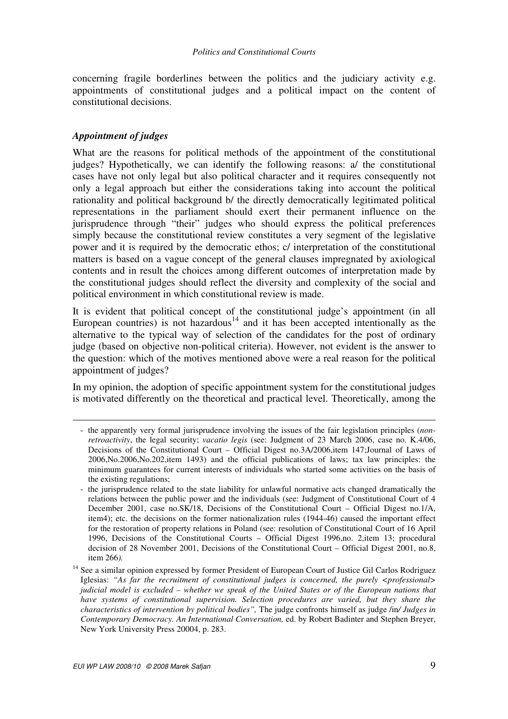concerning fragile borderlines between the politics and the judiciary activity e.g. appointments of constitutional judges and a political impact on the content of constitutional decisions.

## *Appointment of judges*

-

What are the reasons for political methods of the appointment of the constitutional judges? Hypothetically, we can identify the following reasons: a/ the constitutional cases have not only legal but also political character and it requires consequently not only a legal approach but either the considerations taking into account the political rationality and political background b/ the directly democratically legitimated political representations in the parliament should exert their permanent influence on the jurisprudence through "their" judges who should express the political preferences simply because the constitutional review constitutes a very segment of the legislative power and it is required by the democratic ethos; c/ interpretation of the constitutional matters is based on a vague concept of the general clauses impregnated by axiological contents and in result the choices among different outcomes of interpretation made by the constitutional judges should reflect the diversity and complexity of the social and political environment in which constitutional review is made.

It is evident that political concept of the constitutional judge's appointment (in all European countries) is not hazardous<sup>14</sup> and it has been accepted intentionally as the alternative to the typical way of selection of the candidates for the post of ordinary judge (based on objective non-political criteria). However, not evident is the answer to the question: which of the motives mentioned above were a real reason for the political appointment of judges?

In my opinion, the adoption of specific appointment system for the constitutional judges is motivated differently on the theoretical and practical level. Theoretically, among the

<sup>-</sup> the apparently very formal jurisprudence involving the issues of the fair legislation principles (*nonretroactivity*, the legal security; *vacatio legis* (see: Judgment of 23 March 2006, case no. K.4/06, Decisions of the Constitutional Court – Official Digest no.3A/2006,item 147;Journal of Laws of 2006,No.2006,No.202,item 1493) and the official publications of laws; tax law principles: the minimum guarantees for current interests of individuals who started some activities on the basis of the existing regulations;

<sup>-</sup> the jurisprudence related to the state liability for unlawful normative acts changed dramatically the relations between the public power and the individuals (see: Judgment of Constitutional Court of 4 December 2001, case no.SK/18, Decisions of the Constitutional Court – Official Digest no.1/A, item4); etc. the decisions on the former nationalization rules (1944-46) caused the important effect for the restoration of property relations in Poland (see: resolution of Constitutional Court of 16 April 1996, Decisions of the Constitutional Courts – Official Digest 1996,no. 2,item 13; procedural decision of 28 November 2001, Decisions of the Constitutional Court – Official Digest 2001, no.8, item 266*).*

<sup>&</sup>lt;sup>14</sup> See a similar opinion expressed by former President of European Court of Justice Gil Carlos Rodriguez Iglesias: *"As far the recruitment of constitutional judges is concerned, the purely*  $\leq$ *professional judicial model is excluded – whether we speak of the United States or of the European nations that have systems of constitutional supervision. Selection procedures are varied, but they share the characteristics of intervention by political bodies",* The judge confronts himself as judge /in*/ Judges in Contemporary Democracy. An International Conversation,* ed. by Robert Badinter and Stephen Breyer, New York University Press 20004, p. 283.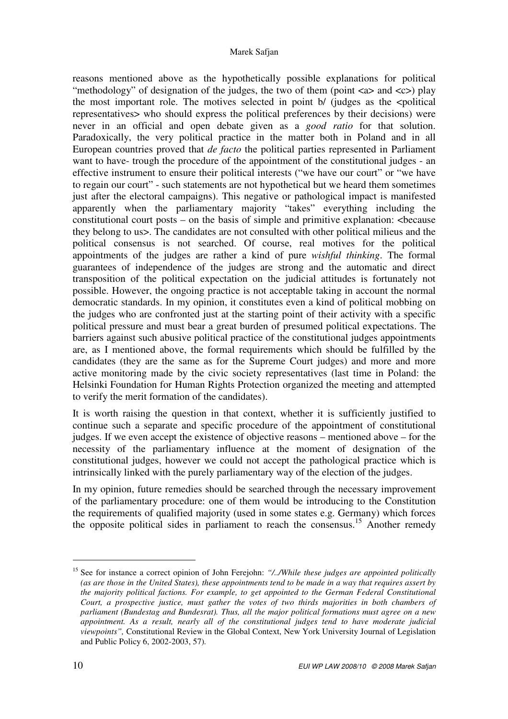reasons mentioned above as the hypothetically possible explanations for political "methodology" of designation of the judges, the two of them (point  $\langle a \rangle$  and  $\langle c \rangle$ ) play the most important role. The motives selected in point  $b/$  (judges as the  $\leq$  political representatives> who should express the political preferences by their decisions) were never in an official and open debate given as a *good ratio* for that solution. Paradoxically, the very political practice in the matter both in Poland and in all European countries proved that *de facto* the political parties represented in Parliament want to have- trough the procedure of the appointment of the constitutional judges - an effective instrument to ensure their political interests ("we have our court" or "we have to regain our court" - such statements are not hypothetical but we heard them sometimes just after the electoral campaigns). This negative or pathological impact is manifested apparently when the parliamentary majority "takes" everything including the constitutional court posts – on the basis of simple and primitive explanation: <because they belong to us>. The candidates are not consulted with other political milieus and the political consensus is not searched. Of course, real motives for the political appointments of the judges are rather a kind of pure *wishful thinking*. The formal guarantees of independence of the judges are strong and the automatic and direct transposition of the political expectation on the judicial attitudes is fortunately not possible. However, the ongoing practice is not acceptable taking in account the normal democratic standards. In my opinion, it constitutes even a kind of political mobbing on the judges who are confronted just at the starting point of their activity with a specific political pressure and must bear a great burden of presumed political expectations. The barriers against such abusive political practice of the constitutional judges appointments are, as I mentioned above, the formal requirements which should be fulfilled by the candidates (they are the same as for the Supreme Court judges) and more and more active monitoring made by the civic society representatives (last time in Poland: the Helsinki Foundation for Human Rights Protection organized the meeting and attempted to verify the merit formation of the candidates).

It is worth raising the question in that context, whether it is sufficiently justified to continue such a separate and specific procedure of the appointment of constitutional judges. If we even accept the existence of objective reasons – mentioned above – for the necessity of the parliamentary influence at the moment of designation of the constitutional judges, however we could not accept the pathological practice which is intrinsically linked with the purely parliamentary way of the election of the judges.

In my opinion, future remedies should be searched through the necessary improvement of the parliamentary procedure: one of them would be introducing to the Constitution the requirements of qualified majority (used in some states e.g. Germany) which forces the opposite political sides in parliament to reach the consensus.<sup>15</sup> Another remedy

<sup>15</sup> See for instance a correct opinion of John Ferejohn: *"/../While these judges are appointed politically (as are those in the United States), these appointments tend to be made in a way that requires assert by the majority political factions. For example, to get appointed to the German Federal Constitutional Court, a prospective justice, must gather the votes of two thirds majorities in both chambers of parliament (Bundestag and Bundesrat). Thus, all the major political formations must agree on a new appointment. As a result, nearly all of the constitutional judges tend to have moderate judicial viewpoints",* Constitutional Review in the Global Context, New York University Journal of Legislation and Public Policy 6, 2002-2003, 57)*.*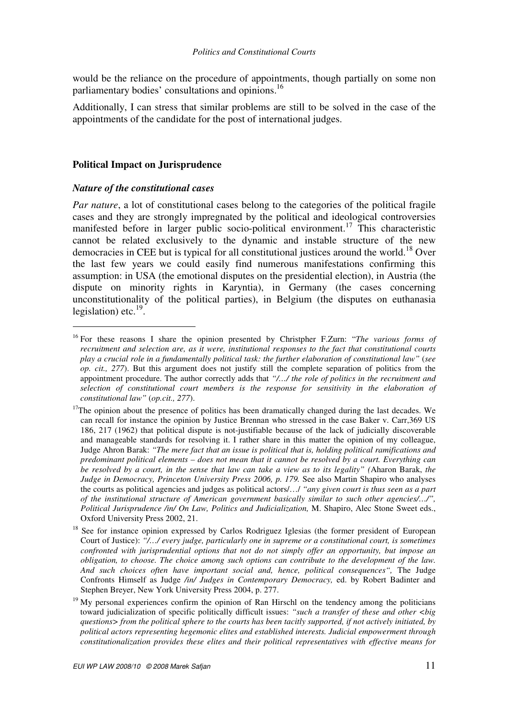would be the reliance on the procedure of appointments, though partially on some non parliamentary bodies' consultations and opinions.<sup>16</sup>

Additionally, I can stress that similar problems are still to be solved in the case of the appointments of the candidate for the post of international judges.

## **Political Impact on Jurisprudence**

## *Nature of the constitutional cases*

 $\overline{a}$ 

*Par nature*, a lot of constitutional cases belong to the categories of the political fragile cases and they are strongly impregnated by the political and ideological controversies manifested before in larger public socio-political environment.<sup>17</sup> This characteristic cannot be related exclusively to the dynamic and instable structure of the new democracies in CEE but is typical for all constitutional justices around the world.<sup>18</sup> Over the last few years we could easily find numerous manifestations confirming this assumption: in USA (the emotional disputes on the presidential election), in Austria (the dispute on minority rights in Karyntia), in Germany (the cases concerning unconstitutionality of the political parties), in Belgium (the disputes on euthanasia legislation) etc.<sup>19</sup>.

<sup>16</sup> For these reasons I share the opinion presented by Christpher F.Zurn: "*The various forms of recruitment and selection are, as it were, institutional responses to the fact that constitutional courts play a crucial role in a fundamentally political task: the further elaboration of constitutional law"* (*see op. cit., 277*). But this argument does not justify still the complete separation of politics from the appointment procedure. The author correctly adds that *"/…/ the role of politics in the recruitment and selection of constitutional court members is the response for sensitivity in the elaboration of constitutional law"* (*op.cit., 277*).

 $17$ The opinion about the presence of politics has been dramatically changed during the last decades. We can recall for instance the opinion by Justice Brennan who stressed in the case Baker v. Carr,369 US 186, 217 (1962) that political dispute is not-justifiable because of the lack of judicially discoverable and manageable standards for resolving it. I rather share in this matter the opinion of my colleague, Judge Ahron Barak: *"The mere fact that an issue is political that is, holding political ramifications and predominant political elements – does not mean that it cannot be resolved by a court. Everything can be resolved by a court, in the sense that law can take a view as to its legality" (*Aharon Barak, *the Judge in Democracy, Princeton University Press 2006, p. 179.* See also Martin Shapiro who analyses the courts as political agencies and judges as political actors/…/ *"any given court is thus seen as a part of the institutional structure of American government basically similar to such other agencies/…/", Political Jurisprudence /in/ On Law, Politics and Judicialization,* M. Shapiro, Alec Stone Sweet eds., Oxford University Press 2002, 21.

See for instance opinion expressed by Carlos Rodriguez Iglesias (the former president of European Court of Justice): *"/…/ every judge, particularly one in supreme or a constitutional court, is sometimes confronted with jurisprudential options that not do not simply offer an opportunity, but impose an obligation, to choose. The choice among such options can contribute to the development of the law.*  And such choices often have important social and, hence, political consequences", The Judge Confronts Himself as Judge */in/ Judges in Contemporary Democracy,* ed. by Robert Badinter and Stephen Breyer, New York University Press 2004, p. 277.

 $19$  My personal experiences confirm the opinion of Ran Hirschl on the tendency among the politicians toward judicialization of specific politically difficult issues: *"such a transfer of these and other <big questions> from the political sphere to the courts has been tacitly supported, if not actively initiated, by political actors representing hegemonic elites and established interests. Judicial empowerment through constitutionalization provides these elites and their political representatives with effective means for*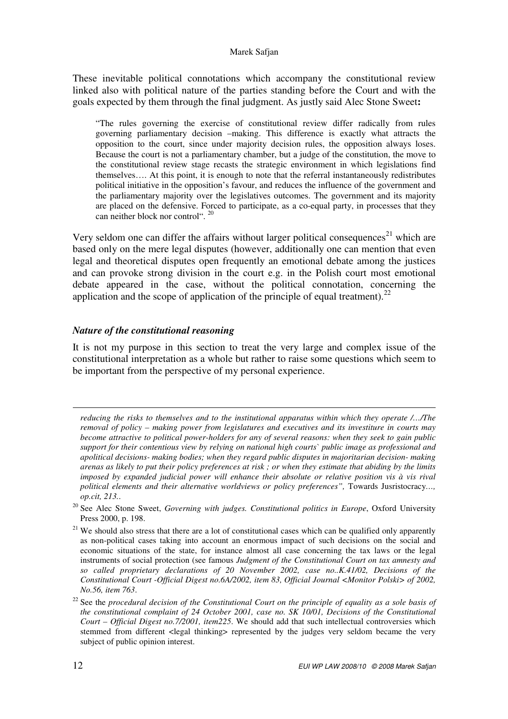These inevitable political connotations which accompany the constitutional review linked also with political nature of the parties standing before the Court and with the goals expected by them through the final judgment. As justly said Alec Stone Sweet**:**

"The rules governing the exercise of constitutional review differ radically from rules governing parliamentary decision –making. This difference is exactly what attracts the opposition to the court, since under majority decision rules, the opposition always loses. Because the court is not a parliamentary chamber, but a judge of the constitution, the move to the constitutional review stage recasts the strategic environment in which legislations find themselves…. At this point, it is enough to note that the referral instantaneously redistributes political initiative in the opposition's favour, and reduces the influence of the government and the parliamentary majority over the legislatives outcomes. The government and its majority are placed on the defensive. Forced to participate, as a co-equal party, in processes that they can neither block nor control". 20

Very seldom one can differ the affairs without larger political consequences<sup>21</sup> which are based only on the mere legal disputes (however, additionally one can mention that even legal and theoretical disputes open frequently an emotional debate among the justices and can provoke strong division in the court e.g. in the Polish court most emotional debate appeared in the case, without the political connotation, concerning the application and the scope of application of the principle of equal treatment).<sup>22</sup>

#### *Nature of the constitutional reasoning*

It is not my purpose in this section to treat the very large and complex issue of the constitutional interpretation as a whole but rather to raise some questions which seem to be important from the perspective of my personal experience.

-

*reducing the risks to themselves and to the institutional apparatus within which they operate /…/The removal of policy – making power from legislatures and executives and its investiture in courts may become attractive to political power-holders for any of several reasons: when they seek to gain public support for their contentious view by relying on national high courts` public image as professional and apolitical decisions- making bodies; when they regard public disputes in majoritarian decision- making arenas as likely to put their policy preferences at risk ; or when they estimate that abiding by the limits imposed by expanded judicial power will enhance their absolute or relative position vis à vis rival political elements and their alternative worldviews or policy preferences",* Towards Jusristocracy*…, op.cit, 213.*.

<sup>&</sup>lt;sup>20</sup> See Alec Stone Sweet, *Governing with judges. Constitutional politics in Europe*, Oxford University Press 2000, p. 198.

<sup>&</sup>lt;sup>21</sup> We should also stress that there are a lot of constitutional cases which can be qualified only apparently as non-political cases taking into account an enormous impact of such decisions on the social and economic situations of the state, for instance almost all case concerning the tax laws or the legal instruments of social protection (see famous *Judgment of the Constitutional Court on tax amnesty and so called proprietary declarations of 20 November 2002, case no..K.41/02, Decisions of the Constitutional Court -Official Digest no.6A/2002, item 83, Official Journal <Monitor Polski> of 2002, No.56, item 763*.

<sup>&</sup>lt;sup>22</sup> See the *procedural decision of the Constitutional Court on the principle of equality as a sole basis of the constitutional complaint of 24 October 2001, case no. SK 10/01, Decisions of the Constitutional Court – Official Digest no.7/2001, item225*. We should add that such intellectual controversies which stemmed from different <legal thinking> represented by the judges very seldom became the very subject of public opinion interest.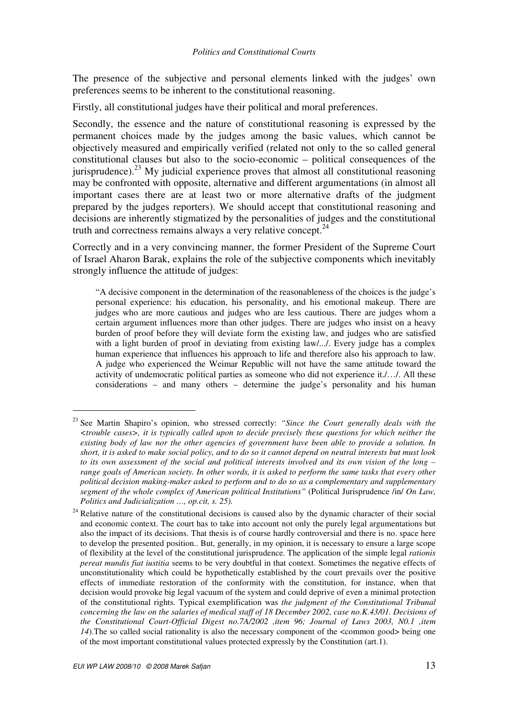The presence of the subjective and personal elements linked with the judges' own preferences seems to be inherent to the constitutional reasoning.

Firstly, all constitutional judges have their political and moral preferences.

Secondly, the essence and the nature of constitutional reasoning is expressed by the permanent choices made by the judges among the basic values, which cannot be objectively measured and empirically verified (related not only to the so called general constitutional clauses but also to the socio-economic – political consequences of the jurisprudence).<sup>23</sup> My judicial experience proves that almost all constitutional reasoning may be confronted with opposite, alternative and different argumentations (in almost all important cases there are at least two or more alternative drafts of the judgment prepared by the judges reporters). We should accept that constitutional reasoning and decisions are inherently stigmatized by the personalities of judges and the constitutional truth and correctness remains always a very relative concept.<sup>24</sup>

Correctly and in a very convincing manner, the former President of the Supreme Court of Israel Aharon Barak, explains the role of the subjective components which inevitably strongly influence the attitude of judges:

"A decisive component in the determination of the reasonableness of the choices is the judge's personal experience: his education, his personality, and his emotional makeup. There are judges who are more cautious and judges who are less cautious. There are judges whom a certain argument influences more than other judges. There are judges who insist on a heavy burden of proof before they will deviate form the existing law, and judges who are satisfied with a light burden of proof in deviating from existing law/.../. Every judge has a complex human experience that influences his approach to life and therefore also his approach to law. A judge who experienced the Weimar Republic will not have the same attitude toward the activity of undemocratic political parties as someone who did not experience it./…/. All these considerations – and many others – determine the judge's personality and his human

<sup>23</sup> See Martin Shapiro's opinion, who stressed correctly: *"Since the Court generally deals with the <trouble cases>, it is typically called upon to decide precisely these questions for which neither the existing body of law nor the other agencies of government have been able to provide a solution. In short, it is asked to make social policy, and to do so it cannot depend on neutral interests but must look to its own assessment of the social and political interests involved and its own vision of the long – range goals of American society. In other words, it is asked to perform the same tasks that every other political decision making-maker asked to perform and to do so as a complementary and supplementary segment of the whole complex of American political Institutions"* (Political Jurisprudence /in/ *On Law, Politics and Judicialization …, op.cit, s. 25).*

<sup>&</sup>lt;sup>24</sup> Relative nature of the constitutional decisions is caused also by the dynamic character of their social and economic context. The court has to take into account not only the purely legal argumentations but also the impact of its decisions. That thesis is of course hardly controversial and there is no. space here to develop the presented position.. But, generally, in my opinion, it is necessary to ensure a large scope of flexibility at the level of the constitutional jurisprudence. The application of the simple legal *rationis pereat mundis fiat iustitia* seems to be very doubtful in that context. Sometimes the negative effects of unconstitutionality which could be hypothetically established by the court prevails over the positive effects of immediate restoration of the conformity with the constitution, for instance, when that decision would provoke big legal vacuum of the system and could deprive of even a minimal protection of the constitutional rights. Typical exemplification was *the judgment of the Constitutional Tribunal concerning the law on the salaries of medical staff of 18 December 2002, case no.K.43/01. Decisions of the Constitutional Court-Official Digest no.7A/2002 ,item 96; Journal of Laws 2003, N0.1 ,item 14*).The so called social rationality is also the necessary component of the <common good> being one of the most important constitutional values protected expressly by the Constitution (art.1).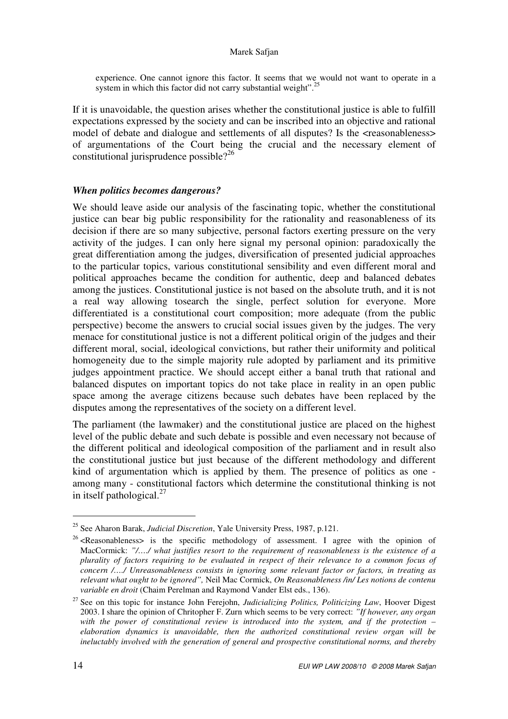experience. One cannot ignore this factor. It seems that we would not want to operate in a system in which this factor did not carry substantial weight".

If it is unavoidable, the question arises whether the constitutional justice is able to fulfill expectations expressed by the society and can be inscribed into an objective and rational model of debate and dialogue and settlements of all disputes? Is the <reasonableness> of argumentations of the Court being the crucial and the necessary element of constitutional jurisprudence possible?<sup>26</sup>

## *When politics becomes dangerous?*

We should leave aside our analysis of the fascinating topic, whether the constitutional justice can bear big public responsibility for the rationality and reasonableness of its decision if there are so many subjective, personal factors exerting pressure on the very activity of the judges. I can only here signal my personal opinion: paradoxically the great differentiation among the judges, diversification of presented judicial approaches to the particular topics, various constitutional sensibility and even different moral and political approaches became the condition for authentic, deep and balanced debates among the justices. Constitutional justice is not based on the absolute truth, and it is not a real way allowing tosearch the single, perfect solution for everyone. More differentiated is a constitutional court composition; more adequate (from the public perspective) become the answers to crucial social issues given by the judges. The very menace for constitutional justice is not a different political origin of the judges and their different moral, social, ideological convictions, but rather their uniformity and political homogeneity due to the simple majority rule adopted by parliament and its primitive judges appointment practice. We should accept either a banal truth that rational and balanced disputes on important topics do not take place in reality in an open public space among the average citizens because such debates have been replaced by the disputes among the representatives of the society on a different level.

The parliament (the lawmaker) and the constitutional justice are placed on the highest level of the public debate and such debate is possible and even necessary not because of the different political and ideological composition of the parliament and in result also the constitutional justice but just because of the different methodology and different kind of argumentation which is applied by them. The presence of politics as one among many - constitutional factors which determine the constitutional thinking is not in itself pathological. $^{27}$ 

<sup>25</sup> See Aharon Barak, *Judicial Discretion*, Yale University Press, 1987, p.121.

<sup>&</sup>lt;sup>26</sup> <Reasonableness> is the specific methodology of assessment. I agree with the opinion of MacCormick: *"/…./ what justifies resort to the requirement of reasonableness is the existence of a plurality of factors requiring to be evaluated in respect of their relevance to a common focus of concern /…./ Unreasonableness consists in ignoring some relevant factor or factors, in treating as relevant what ought to be ignored",* Neil Mac Cormick, *On Reasonableness /in/ Les notions de contenu variable en droit* (Chaim Perelman and Raymond Vander Elst eds., 136).

<sup>&</sup>lt;sup>27</sup> See on this topic for instance John Ferejohn, *Judicializing Politics, Politicizing Law*, Hoover Digest 2003. I share the opinion of Chritopher F. Zurn which seems to be very correct: *"If however, any organ*  with the power of constitutional review is introduced into the system, and if the protection – *elaboration dynamics is unavoidable, then the authorized constitutional review organ will be ineluctably involved with the generation of general and prospective constitutional norms, and thereby*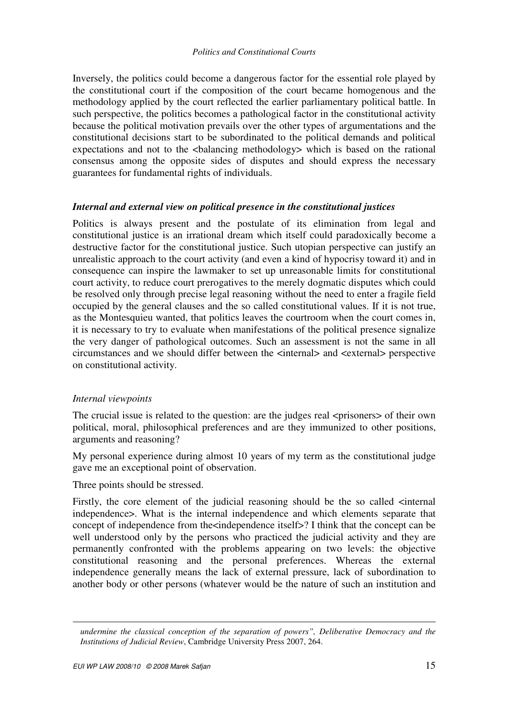Inversely, the politics could become a dangerous factor for the essential role played by the constitutional court if the composition of the court became homogenous and the methodology applied by the court reflected the earlier parliamentary political battle. In such perspective, the politics becomes a pathological factor in the constitutional activity because the political motivation prevails over the other types of argumentations and the constitutional decisions start to be subordinated to the political demands and political expectations and not to the  $\alpha$ -balancing methodology which is based on the rational consensus among the opposite sides of disputes and should express the necessary guarantees for fundamental rights of individuals.

## *Internal and external view on political presence in the constitutional justices*

Politics is always present and the postulate of its elimination from legal and constitutional justice is an irrational dream which itself could paradoxically become a destructive factor for the constitutional justice. Such utopian perspective can justify an unrealistic approach to the court activity (and even a kind of hypocrisy toward it) and in consequence can inspire the lawmaker to set up unreasonable limits for constitutional court activity, to reduce court prerogatives to the merely dogmatic disputes which could be resolved only through precise legal reasoning without the need to enter a fragile field occupied by the general clauses and the so called constitutional values. If it is not true, as the Montesquieu wanted, that politics leaves the courtroom when the court comes in, it is necessary to try to evaluate when manifestations of the political presence signalize the very danger of pathological outcomes. Such an assessment is not the same in all circumstances and we should differ between the <internal> and <external> perspective on constitutional activity.

## *Internal viewpoints*

The crucial issue is related to the question: are the judges real  $\langle$ prisoners $\rangle$  of their own political, moral, philosophical preferences and are they immunized to other positions, arguments and reasoning?

My personal experience during almost 10 years of my term as the constitutional judge gave me an exceptional point of observation.

Three points should be stressed.

Firstly, the core element of the judicial reasoning should be the so called  $\le$ internal independence>. What is the internal independence and which elements separate that concept of independence from the<independence itself>? I think that the concept can be well understood only by the persons who practiced the judicial activity and they are permanently confronted with the problems appearing on two levels: the objective constitutional reasoning and the personal preferences. Whereas the external independence generally means the lack of external pressure, lack of subordination to another body or other persons (whatever would be the nature of such an institution and

-

*undermine the classical conception of the separation of powers", Deliberative Democracy and the Institutions of Judicial Review*, Cambridge University Press 2007, 264.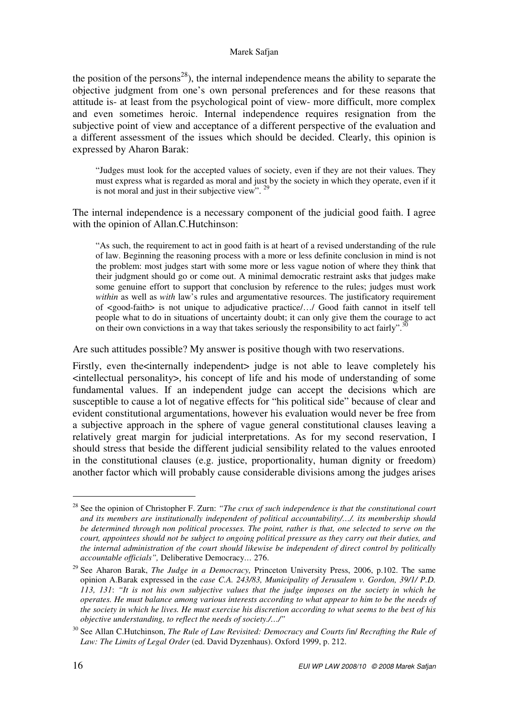the position of the persons<sup>28</sup>), the internal independence means the ability to separate the objective judgment from one's own personal preferences and for these reasons that attitude is- at least from the psychological point of view- more difficult, more complex and even sometimes heroic. Internal independence requires resignation from the subjective point of view and acceptance of a different perspective of the evaluation and a different assessment of the issues which should be decided. Clearly, this opinion is expressed by Aharon Barak:

"Judges must look for the accepted values of society, even if they are not their values. They must express what is regarded as moral and just by the society in which they operate, even if it is not moral and just in their subjective view". <sup>29</sup>

The internal independence is a necessary component of the judicial good faith. I agree with the opinion of Allan.C.Hutchinson:

"As such, the requirement to act in good faith is at heart of a revised understanding of the rule of law. Beginning the reasoning process with a more or less definite conclusion in mind is not the problem: most judges start with some more or less vague notion of where they think that their judgment should go or come out. A minimal democratic restraint asks that judges make some genuine effort to support that conclusion by reference to the rules; judges must work *within* as well as *with* law's rules and argumentative resources. The justificatory requirement of <good-faith> is not unique to adjudicative practice/…/ Good faith cannot in itself tell people what to do in situations of uncertainty doubt; it can only give them the courage to act on their own convictions in a way that takes seriously the responsibility to act fairly".<sup>3</sup>

Are such attitudes possible? My answer is positive though with two reservations.

Firstly, even the sinternally independent > judge is not able to leave completely his <intellectual personality>, his concept of life and his mode of understanding of some fundamental values. If an independent judge can accept the decisions which are susceptible to cause a lot of negative effects for "his political side" because of clear and evident constitutional argumentations, however his evaluation would never be free from a subjective approach in the sphere of vague general constitutional clauses leaving a relatively great margin for judicial interpretations. As for my second reservation, I should stress that beside the different judicial sensibility related to the values enrooted in the constitutional clauses (e.g. justice, proportionality, human dignity or freedom) another factor which will probably cause considerable divisions among the judges arises

<sup>&</sup>lt;sup>28</sup> See the opinion of Christopher F. Zurn: "The crux of such independence is that the constitutional court *and its members are institutionally independent of political accountability/…/. its membership should be determined through non political processes. The point, rather is that, one selected to serve on the court, appointees should not be subject to ongoing political pressure as they carry out their duties, and the internal administration of the court should likewise be independent of direct control by politically accountable officials",* Deliberative Democracy*…* 276.

<sup>29</sup> See Aharon Barak, *The Judge in a Democracy,* Princeton University Press, 2006, p.102. The same opinion A.Barak expressed in the *case C.A. 243/83, Municipality of Jerusalem v. Gordon, 39/1/ P.D. 113, 131*: *"It is not his own subjective values that the judge imposes on the society in which he operates. He must balance among various interests according to what appear to him to be the needs of the society in which he lives. He must exercise his discretion according to what seems to the best of his objective understanding, to reflect the needs of society./…/"* 

<sup>30</sup> See Allan C.Hutchinson, *The Rule of Law Revisited: Democracy and Courts* /in/ *Recrafting the Rule of Law: The Limits of Legal Order* (ed. David Dyzenhaus). Oxford 1999, p. 212.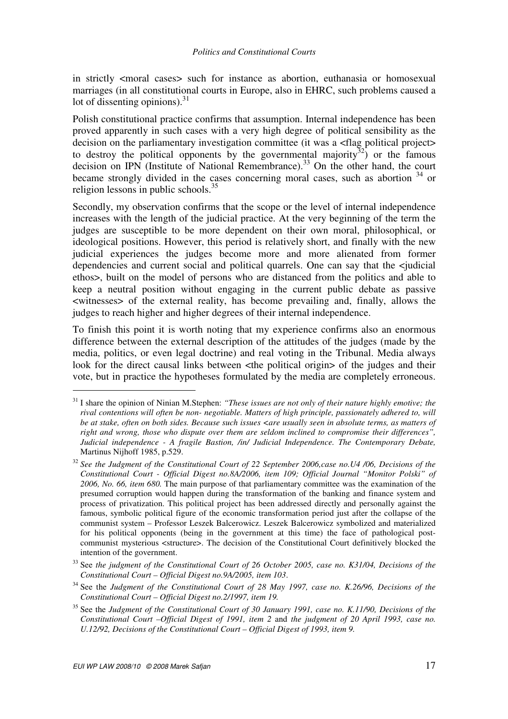in strictly <moral cases> such for instance as abortion, euthanasia or homosexual marriages (in all constitutional courts in Europe, also in EHRC, such problems caused a lot of dissenting opinions). $31$ 

Polish constitutional practice confirms that assumption. Internal independence has been proved apparently in such cases with a very high degree of political sensibility as the decision on the parliamentary investigation committee (it was a <flag political project> to destroy the political opponents by the governmental majority<sup>32</sup>) or the famous decision on IPN (Institute of National Remembrance).<sup>33</sup> On the other hand, the court became strongly divided in the cases concerning moral cases, such as abortion  $34$  or religion lessons in public schools. $35$ 

Secondly, my observation confirms that the scope or the level of internal independence increases with the length of the judicial practice. At the very beginning of the term the judges are susceptible to be more dependent on their own moral, philosophical, or ideological positions. However, this period is relatively short, and finally with the new judicial experiences the judges become more and more alienated from former dependencies and current social and political quarrels. One can say that the <judicial ethos>, built on the model of persons who are distanced from the politics and able to keep a neutral position without engaging in the current public debate as passive <witnesses> of the external reality, has become prevailing and, finally, allows the judges to reach higher and higher degrees of their internal independence.

To finish this point it is worth noting that my experience confirms also an enormous difference between the external description of the attitudes of the judges (made by the media, politics, or even legal doctrine) and real voting in the Tribunal. Media always look for the direct causal links between <the political origin> of the judges and their vote, but in practice the hypotheses formulated by the media are completely erroneous.

<sup>&</sup>lt;sup>31</sup> I share the opinion of Ninian M.Stephen: *"These issues are not only of their nature highly emotive; the rival contentions will often be non- negotiable. Matters of high principle, passionately adhered to, will be at stake, often on both sides. Because such issues <are usually seen in absolute terms, as matters of right and wrong, those who dispute over them are seldom inclined to compromise their differences", Judicial independence - A fragile Bastion, /in/ Judicial Independence. The Contemporary Debate,* Martinus Nijhoff 1985, p.529.

<sup>32</sup> *See the Judgment of the Constitutional Court of 22 September 2006,case no.U4 /06, Decisions of the Constitutional Court - Official Digest no.8A/2006, item 109; Official Journal "Monitor Polski" of 2006, No. 66, item 680.* The main purpose of that parliamentary committee was the examination of the presumed corruption would happen during the transformation of the banking and finance system and process of privatization. This political project has been addressed directly and personally against the famous, symbolic political figure of the economic transformation period just after the collapse of the communist system – Professor Leszek Balcerowicz. Leszek Balcerowicz symbolized and materialized for his political opponents (being in the government at this time) the face of pathological postcommunist mysterious <structure>. The decision of the Constitutional Court definitively blocked the intention of the government.

<sup>33</sup> See *the judgment of the Constitutional Court of 26 October 2005, case no. K31/04, Decisions of the Constitutional Court – Official Digest no.9A/2005, item 103*.

<sup>34</sup> See the *Judgment of the Constitutional Court of 28 May 1997, case no. K.26/96, Decisions of the Constitutional Court – Official Digest no.2/1997, item 19.* 

<sup>35</sup> See the *Judgment of the Constitutional Court of 30 January 1991, case no. K.11/90, Decisions of the Constitutional Court –Official Digest of 1991, item 2* and *the judgment of 20 April 1993, case no. U.12/92, Decisions of the Constitutional Court – Official Digest of 1993, item 9.*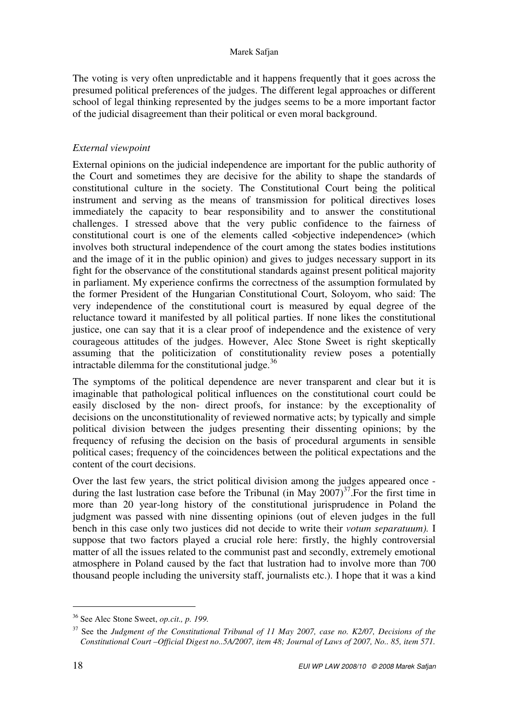The voting is very often unpredictable and it happens frequently that it goes across the presumed political preferences of the judges. The different legal approaches or different school of legal thinking represented by the judges seems to be a more important factor of the judicial disagreement than their political or even moral background.

## *External viewpoint*

External opinions on the judicial independence are important for the public authority of the Court and sometimes they are decisive for the ability to shape the standards of constitutional culture in the society. The Constitutional Court being the political instrument and serving as the means of transmission for political directives loses immediately the capacity to bear responsibility and to answer the constitutional challenges. I stressed above that the very public confidence to the fairness of constitutional court is one of the elements called  $\leq$   $\leq$   $\leq$   $\leq$   $\leq$   $\leq$   $\leq$   $\leq$   $\leq$   $\leq$   $\leq$   $\leq$   $\leq$   $\leq$   $\leq$   $\leq$   $\leq$   $\leq$   $\leq$   $\leq$   $\leq$   $\leq$   $\leq$   $\leq$   $\leq$   $\leq$   $\leq$   $\leq$   $\le$ involves both structural independence of the court among the states bodies institutions and the image of it in the public opinion) and gives to judges necessary support in its fight for the observance of the constitutional standards against present political majority in parliament. My experience confirms the correctness of the assumption formulated by the former President of the Hungarian Constitutional Court, Soloyom, who said: The very independence of the constitutional court is measured by equal degree of the reluctance toward it manifested by all political parties. If none likes the constitutional justice, one can say that it is a clear proof of independence and the existence of very courageous attitudes of the judges. However, Alec Stone Sweet is right skeptically assuming that the politicization of constitutionality review poses a potentially intractable dilemma for the constitutional judge. $36$ 

The symptoms of the political dependence are never transparent and clear but it is imaginable that pathological political influences on the constitutional court could be easily disclosed by the non- direct proofs, for instance: by the exceptionality of decisions on the unconstitutionality of reviewed normative acts; by typically and simple political division between the judges presenting their dissenting opinions; by the frequency of refusing the decision on the basis of procedural arguments in sensible political cases; frequency of the coincidences between the political expectations and the content of the court decisions.

Over the last few years, the strict political division among the judges appeared once during the last lustration case before the Tribunal (in May  $2007$ )<sup>37</sup>. For the first time in more than 20 year-long history of the constitutional jurisprudence in Poland the judgment was passed with nine dissenting opinions (out of eleven judges in the full bench in this case only two justices did not decide to write their *votum separatuum).* I suppose that two factors played a crucial role here: firstly, the highly controversial matter of all the issues related to the communist past and secondly, extremely emotional atmosphere in Poland caused by the fact that lustration had to involve more than 700 thousand people including the university staff, journalists etc.). I hope that it was a kind

<sup>36</sup> See Alec Stone Sweet, *op.cit., p. 199.* 

<sup>37</sup> See the *Judgment of the Constitutional Tribunal of 11 May 2007, case no. K2/07, Decisions of the Constitutional Court –Official Digest no..5A/2007, item 48; Journal of Laws of 2007, No.. 85, item 571.*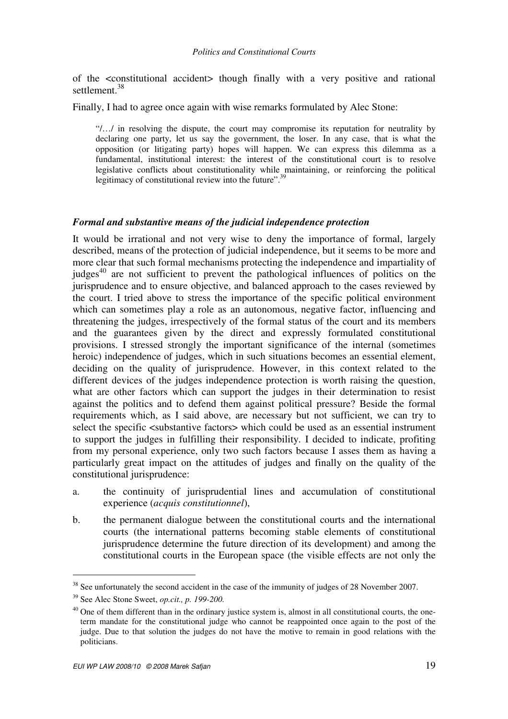of the <constitutional accident> though finally with a very positive and rational settlement.<sup>38</sup>

Finally, I had to agree once again with wise remarks formulated by Alec Stone:

"/…/ in resolving the dispute, the court may compromise its reputation for neutrality by declaring one party, let us say the government, the loser. In any case, that is what the opposition (or litigating party) hopes will happen. We can express this dilemma as a fundamental, institutional interest: the interest of the constitutional court is to resolve legislative conflicts about constitutionality while maintaining, or reinforcing the political legitimacy of constitutional review into the future".<sup>39</sup>

## *Formal and substantive means of the judicial independence protection*

It would be irrational and not very wise to deny the importance of formal, largely described, means of the protection of judicial independence, but it seems to be more and more clear that such formal mechanisms protecting the independence and impartiality of judges<sup>40</sup> are not sufficient to prevent the pathological influences of politics on the jurisprudence and to ensure objective, and balanced approach to the cases reviewed by the court. I tried above to stress the importance of the specific political environment which can sometimes play a role as an autonomous, negative factor, influencing and threatening the judges, irrespectively of the formal status of the court and its members and the guarantees given by the direct and expressly formulated constitutional provisions. I stressed strongly the important significance of the internal (sometimes heroic) independence of judges, which in such situations becomes an essential element, deciding on the quality of jurisprudence. However, in this context related to the different devices of the judges independence protection is worth raising the question, what are other factors which can support the judges in their determination to resist against the politics and to defend them against political pressure? Beside the formal requirements which, as I said above, are necessary but not sufficient, we can try to select the specific <substantive factors> which could be used as an essential instrument to support the judges in fulfilling their responsibility. I decided to indicate, profiting from my personal experience, only two such factors because I asses them as having a particularly great impact on the attitudes of judges and finally on the quality of the constitutional jurisprudence:

- a. the continuity of jurisprudential lines and accumulation of constitutional experience (*acquis constitutionnel*),
- b. the permanent dialogue between the constitutional courts and the international courts (the international patterns becoming stable elements of constitutional jurisprudence determine the future direction of its development) and among the constitutional courts in the European space (the visible effects are not only the

<sup>&</sup>lt;sup>38</sup> See unfortunately the second accident in the case of the immunity of judges of 28 November 2007.

<sup>39</sup> See Alec Stone Sweet, *op.cit., p. 199-200.* 

 $40$  One of them different than in the ordinary justice system is, almost in all constitutional courts, the oneterm mandate for the constitutional judge who cannot be reappointed once again to the post of the judge. Due to that solution the judges do not have the motive to remain in good relations with the politicians.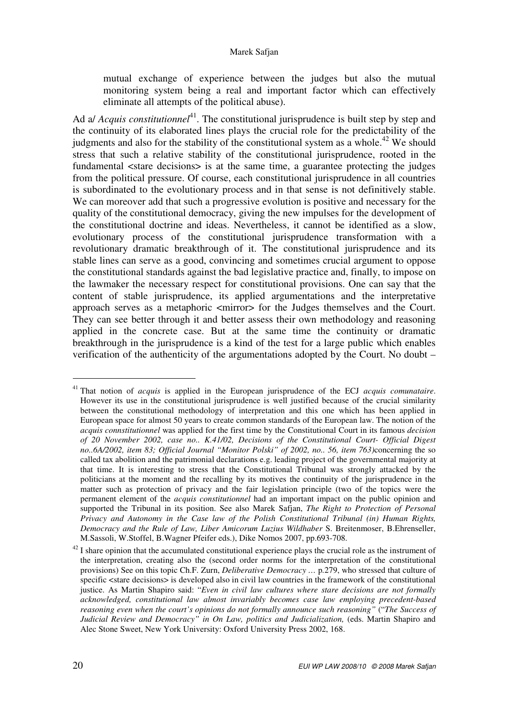mutual exchange of experience between the judges but also the mutual monitoring system being a real and important factor which can effectively eliminate all attempts of the political abuse).

Ad a/ *Acquis constitutionnel*<sup>41</sup>. The constitutional jurisprudence is built step by step and the continuity of its elaborated lines plays the crucial role for the predictability of the judgments and also for the stability of the constitutional system as a whole.<sup>42</sup> We should stress that such a relative stability of the constitutional jurisprudence, rooted in the fundamental <stare decisions> is at the same time, a guarantee protecting the judges from the political pressure. Of course, each constitutional jurisprudence in all countries is subordinated to the evolutionary process and in that sense is not definitively stable. We can moreover add that such a progressive evolution is positive and necessary for the quality of the constitutional democracy, giving the new impulses for the development of the constitutional doctrine and ideas. Nevertheless, it cannot be identified as a slow, evolutionary process of the constitutional jurisprudence transformation with a revolutionary dramatic breakthrough of it. The constitutional jurisprudence and its stable lines can serve as a good, convincing and sometimes crucial argument to oppose the constitutional standards against the bad legislative practice and, finally, to impose on the lawmaker the necessary respect for constitutional provisions. One can say that the content of stable jurisprudence, its applied argumentations and the interpretative approach serves as a metaphoric  $\langle$ mirror $\rangle$  for the Judges themselves and the Court. They can see better through it and better assess their own methodology and reasoning applied in the concrete case. But at the same time the continuity or dramatic breakthrough in the jurisprudence is a kind of the test for a large public which enables verification of the authenticity of the argumentations adopted by the Court. No doubt –

<sup>41</sup> That notion of *acquis* is applied in the European jurisprudence of the ECJ *acquis comunataire*. However its use in the constitutional jurisprudence is well justified because of the crucial similarity between the constitutional methodology of interpretation and this one which has been applied in European space for almost 50 years to create common standards of the European law. The notion of the *acquis connstitutionnel* was applied for the first time by the Constitutional Court in its famous *decision of 20 November 2002, case no.. K.41/02, Decisions of the Constitutional Court- Official Digest no..6A/2002, item 83; Official Journal "Monitor Polski" of 2002, no.. 56, item 763)*concerning the so called tax abolition and the patrimonial declarations e.g. leading project of the governmental majority at that time. It is interesting to stress that the Constitutional Tribunal was strongly attacked by the politicians at the moment and the recalling by its motives the continuity of the jurisprudence in the matter such as protection of privacy and the fair legislation principle (two of the topics were the permanent element of the *acquis constitutionnel* had an important impact on the public opinion and supported the Tribunal in its position. See also Marek Safjan, *The Right to Protection of Personal Privacy and Autonomy in the Case law of the Polish Constitutional Tribunal (in) Human Rights, Democracy and the Rule of Law, Liber Amicorum Luzius Wildhaber* S. Breitenmoser, B.Ehrenseller, M.Sassoli, W.Stoffel, B.Wagner Pfeifer eds.), Dike Nomos 2007, pp.693-708.

 $42$  I share opinion that the accumulated constitutional experience plays the crucial role as the instrument of the interpretation, creating also the (second order norms for the interpretation of the constitutional provisions) See on this topic Ch.F. Zurn, *Deliberative Democracy …* p*.*279, who stressed that culture of specific <stare decisions> is developed also in civil law countries in the framework of the constitutional justice. As Martin Shapiro said: "*Even in civil law cultures where stare decisions are not formally acknowledged, constitutional law almost invariably becomes case law employing precedent-based reasoning even when the court's opinions do not formally announce such reasoning"* ("*The Success of*  Judicial Review and Democracy" in On Law, politics and Judicialization, (eds. Martin Shapiro and Alec Stone Sweet, New York University: Oxford University Press 2002, 168.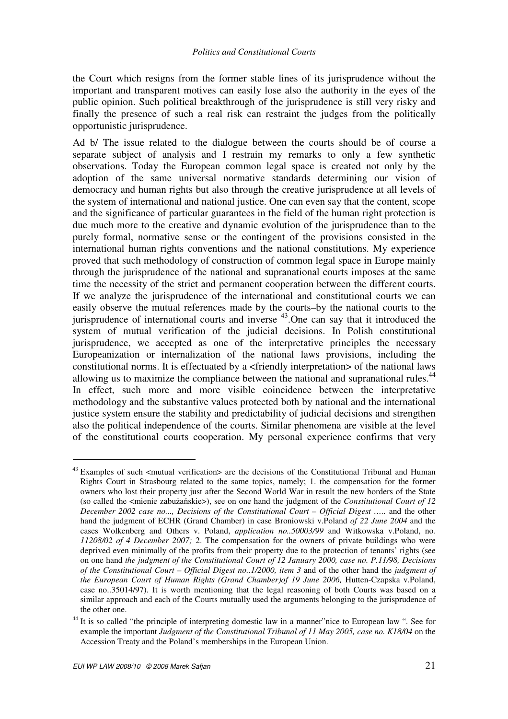the Court which resigns from the former stable lines of its jurisprudence without the important and transparent motives can easily lose also the authority in the eyes of the public opinion. Such political breakthrough of the jurisprudence is still very risky and finally the presence of such a real risk can restraint the judges from the politically opportunistic jurisprudence.

Ad b/ The issue related to the dialogue between the courts should be of course a separate subject of analysis and I restrain my remarks to only a few synthetic observations. Today the European common legal space is created not only by the adoption of the same universal normative standards determining our vision of democracy and human rights but also through the creative jurisprudence at all levels of the system of international and national justice. One can even say that the content, scope and the significance of particular guarantees in the field of the human right protection is due much more to the creative and dynamic evolution of the jurisprudence than to the purely formal, normative sense or the contingent of the provisions consisted in the international human rights conventions and the national constitutions. My experience proved that such methodology of construction of common legal space in Europe mainly through the jurisprudence of the national and supranational courts imposes at the same time the necessity of the strict and permanent cooperation between the different courts. If we analyze the jurisprudence of the international and constitutional courts we can easily observe the mutual references made by the courts–by the national courts to the jurisprudence of international courts and inverse  $43$ . One can say that it introduced the system of mutual verification of the judicial decisions. In Polish constitutional jurisprudence, we accepted as one of the interpretative principles the necessary Europeanization or internalization of the national laws provisions, including the constitutional norms. It is effectuated by a <friendly interpretation> of the national laws allowing us to maximize the compliance between the national and supranational rules.<sup>44</sup> In effect, such more and more visible coincidence between the interpretative methodology and the substantive values protected both by national and the international justice system ensure the stability and predictability of judicial decisions and strengthen also the political independence of the courts. Similar phenomena are visible at the level of the constitutional courts cooperation. My personal experience confirms that very

 $43$  Examples of such  $\lt$ mutual verification $\gt$  are the decisions of the Constitutional Tribunal and Human Rights Court in Strasbourg related to the same topics, namely; 1. the compensation for the former owners who lost their property just after the Second World War in result the new borders of the State (so called the <mienie zabużańskie>), see on one hand the judgment of the *Constitutional Court of 12 December 2002 case no..., Decisions of the Constitutional Court – Official Digest …..* and the other hand the judgment of ECHR (Grand Chamber) in case Broniowski v.Poland *of 22 June 2004* and the cases Wolkenberg and Others v. Poland, *application no..50003/99* and Witkowska v.Poland, no*. 11208/02 of 4 December 2007;* 2. The compensation for the owners of private buildings who were deprived even minimally of the profits from their property due to the protection of tenants' rights (see on one hand *the judgment of the Constitutional Court of 12 January 2000, case no. P.11/98, Decisions of the Constitutional Court – Official Digest no..1/2000, item 3* and of the other hand the *judgment of the European Court of Human Rights (Grand Chamber)of 19 June 2006,* Hutten-Czapska v.Poland, case no..35014/97). It is worth mentioning that the legal reasoning of both Courts was based on a similar approach and each of the Courts mutually used the arguments belonging to the jurisprudence of the other one.

<sup>&</sup>lt;sup>44</sup> It is so called "the principle of interpreting domestic law in a manner"nice to European law ". See for example the important *Judgment of the Constitutional Tribunal of 11 May 2005, case no. K18/04* on the Accession Treaty and the Poland's memberships in the European Union.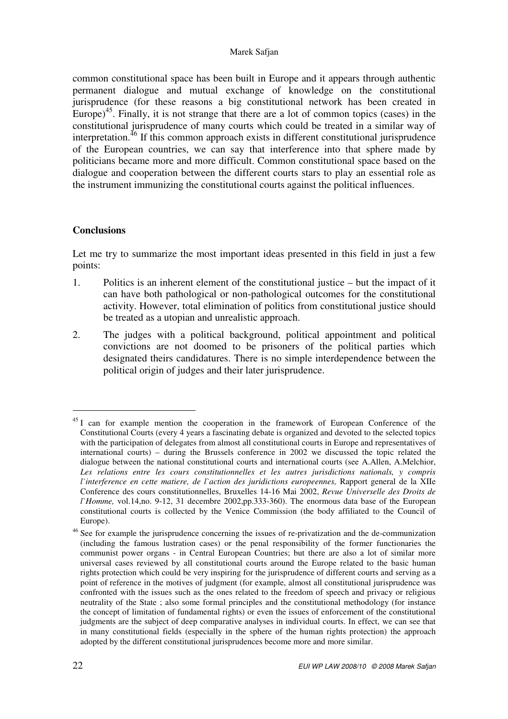common constitutional space has been built in Europe and it appears through authentic permanent dialogue and mutual exchange of knowledge on the constitutional jurisprudence (for these reasons a big constitutional network has been created in Europe)<sup>45</sup>. Finally, it is not strange that there are a lot of common topics (cases) in the constitutional jurisprudence of many courts which could be treated in a similar way of interpretation.<sup>46</sup> If this common approach exists in different constitutional jurisprudence of the European countries, we can say that interference into that sphere made by politicians became more and more difficult. Common constitutional space based on the dialogue and cooperation between the different courts stars to play an essential role as the instrument immunizing the constitutional courts against the political influences.

## **Conclusions**

Let me try to summarize the most important ideas presented in this field in just a few points:

- 1. Politics is an inherent element of the constitutional justice but the impact of it can have both pathological or non-pathological outcomes for the constitutional activity. However, total elimination of politics from constitutional justice should be treated as a utopian and unrealistic approach.
- 2. The judges with a political background, political appointment and political convictions are not doomed to be prisoners of the political parties which designated theirs candidatures. There is no simple interdependence between the political origin of judges and their later jurisprudence.

<sup>&</sup>lt;sup>45</sup> I can for example mention the cooperation in the framework of European Conference of the Constitutional Courts (every 4 years a fascinating debate is organized and devoted to the selected topics with the participation of delegates from almost all constitutional courts in Europe and representatives of international courts) – during the Brussels conference in 2002 we discussed the topic related the dialogue between the national constitutional courts and international courts (see A.Allen, A.Melchior, *Les relations entre les cours constitutionnelles et les autres jurisdictions nationals, y compris l`interference en cette matiere, de l`action des juridictions europeennes,* Rapport general de la XIIe Conference des cours constitutionnelles, Bruxelles 14-16 Mai 2002, *Revue Universelle des Droits de l`Homme,* vol.14,no. 9-12, 31 decembre 2002,pp.333-360). The enormous data base of the European constitutional courts is collected by the Venice Commission (the body affiliated to the Council of Europe).

<sup>&</sup>lt;sup>46</sup> See for example the jurisprudence concerning the issues of re-privatization and the de-communization (including the famous lustration cases) or the penal responsibility of the former functionaries the communist power organs - in Central European Countries; but there are also a lot of similar more universal cases reviewed by all constitutional courts around the Europe related to the basic human rights protection which could be very inspiring for the jurisprudence of different courts and serving as a point of reference in the motives of judgment (for example, almost all constitutional jurisprudence was confronted with the issues such as the ones related to the freedom of speech and privacy or religious neutrality of the State ; also some formal principles and the constitutional methodology (for instance the concept of limitation of fundamental rights) or even the issues of enforcement of the constitutional judgments are the subject of deep comparative analyses in individual courts. In effect, we can see that in many constitutional fields (especially in the sphere of the human rights protection) the approach adopted by the different constitutional jurisprudences become more and more similar.